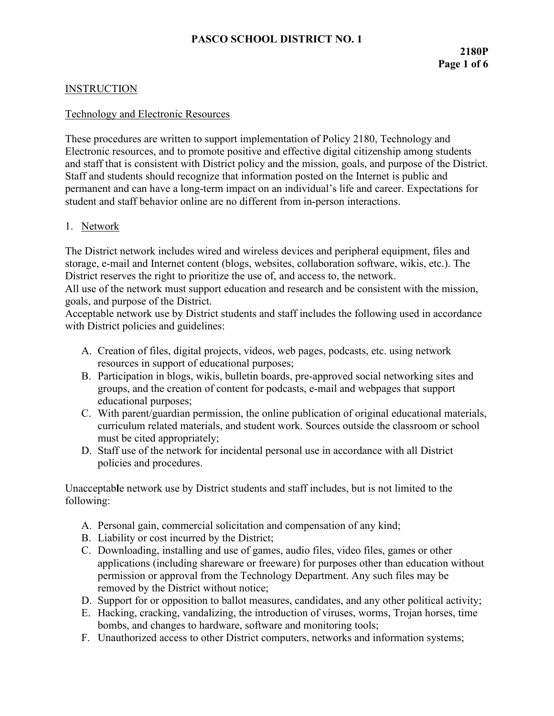### **INSTRUCTION**

#### Technology and Electronic Resources

These procedures are written to support implementation of Policy 2180, Technology and Electronic resources, and to promote positive and effective digital citizenship among students and staff that is consistent with District policy and the mission, goals, and purpose of the District. Staff and students should recognize that information posted on the Internet is public and permanent and can have a long-term impact on an individual's life and career. Expectations for student and staff behavior online are no different from in-person interactions.

### 1. Network

The District network includes wired and wireless devices and peripheral equipment, files and storage, e-mail and Internet content (blogs, websites, collaboration software, wikis, etc.). The District reserves the right to prioritize the use of, and access to, the network.

All use of the network must support education and research and be consistent with the mission, goals, and purpose of the District.

Acceptable network use by District students and staff includes the following used in accordance with District policies and guidelines:

- A. Creation of files, digital projects, videos, web pages, podcasts, etc. using network resources in support of educational purposes;
- B. Participation in blogs, wikis, bulletin boards, pre-approved social networking sites and groups, and the creation of content for podcasts, e-mail and webpages that support educational purposes;
- C. With parent/guardian permission, the online publication of original educational materials, curriculum related materials, and student work. Sources outside the classroom or school must be cited appropriately;
- D. Staff use of the network for incidental personal use in accordance with all District policies and procedures.

Unacceptab**l**e network use by District students and staff includes, but is not limited to the following:

- A. Personal gain, commercial solicitation and compensation of any kind;
- B. Liability or cost incurred by the District;
- C. Downloading, installing and use of games, audio files, video files, games or other applications (including shareware or freeware) for purposes other than education without permission or approval from the Technology Department. Any such files may be removed by the District without notice;
- D. Support for or opposition to ballot measures, candidates, and any other political activity;
- E. Hacking, cracking, vandalizing, the introduction of viruses, worms, Trojan horses, time bombs, and changes to hardware, software and monitoring tools;
- F. Unauthorized access to other District computers, networks and information systems;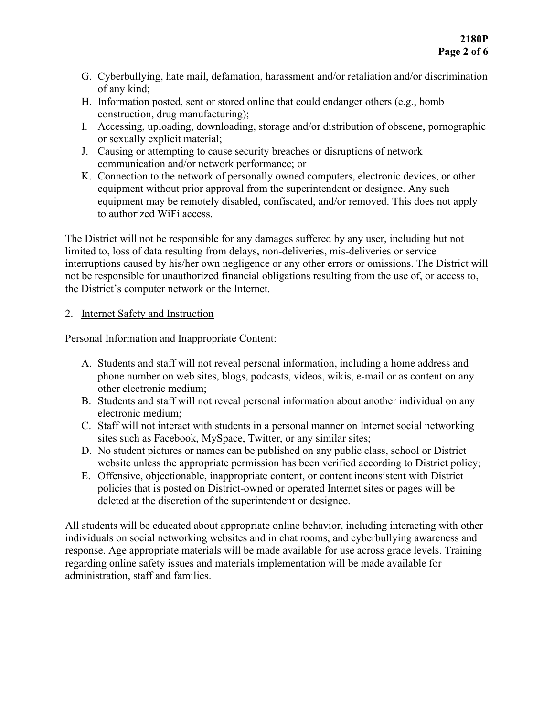- G. Cyberbullying, hate mail, defamation, harassment and/or retaliation and/or discrimination of any kind;
- H. Information posted, sent or stored online that could endanger others (e.g., bomb construction, drug manufacturing);
- I. Accessing, uploading, downloading, storage and/or distribution of obscene, pornographic or sexually explicit material;
- J. Causing or attempting to cause security breaches or disruptions of network communication and/or network performance; or
- K. Connection to the network of personally owned computers, electronic devices, or other equipment without prior approval from the superintendent or designee. Any such equipment may be remotely disabled, confiscated, and/or removed. This does not apply to authorized WiFi access.

The District will not be responsible for any damages suffered by any user, including but not limited to, loss of data resulting from delays, non-deliveries, mis-deliveries or service interruptions caused by his/her own negligence or any other errors or omissions. The District will not be responsible for unauthorized financial obligations resulting from the use of, or access to, the District's computer network or the Internet.

## 2. Internet Safety and Instruction

Personal Information and Inappropriate Content:

- A. Students and staff will not reveal personal information, including a home address and phone number on web sites, blogs, podcasts, videos, wikis, e-mail or as content on any other electronic medium;
- B. Students and staff will not reveal personal information about another individual on any electronic medium;
- C. Staff will not interact with students in a personal manner on Internet social networking sites such as Facebook, MySpace, Twitter, or any similar sites;
- D. No student pictures or names can be published on any public class, school or District website unless the appropriate permission has been verified according to District policy;
- E. Offensive, objectionable, inappropriate content, or content inconsistent with District policies that is posted on District-owned or operated Internet sites or pages will be deleted at the discretion of the superintendent or designee.

All students will be educated about appropriate online behavior, including interacting with other individuals on social networking websites and in chat rooms, and cyberbullying awareness and response. Age appropriate materials will be made available for use across grade levels. Training regarding online safety issues and materials implementation will be made available for administration, staff and families.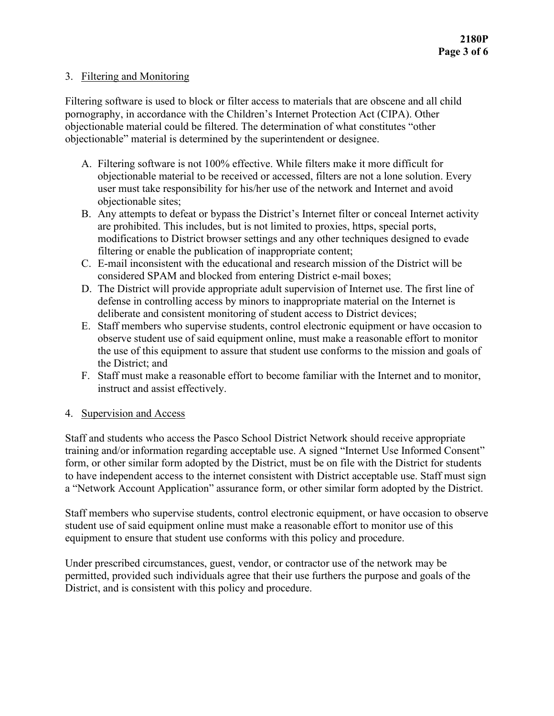### 3. Filtering and Monitoring

Filtering software is used to block or filter access to materials that are obscene and all child pornography, in accordance with the Children's Internet Protection Act (CIPA). Other objectionable material could be filtered. The determination of what constitutes "other objectionable" material is determined by the superintendent or designee.

- A. Filtering software is not 100% effective. While filters make it more difficult for objectionable material to be received or accessed, filters are not a lone solution. Every user must take responsibility for his/her use of the network and Internet and avoid objectionable sites;
- B. Any attempts to defeat or bypass the District's Internet filter or conceal Internet activity are prohibited. This includes, but is not limited to proxies, https, special ports, modifications to District browser settings and any other techniques designed to evade filtering or enable the publication of inappropriate content;
- C. E-mail inconsistent with the educational and research mission of the District will be considered SPAM and blocked from entering District e-mail boxes;
- D. The District will provide appropriate adult supervision of Internet use. The first line of defense in controlling access by minors to inappropriate material on the Internet is deliberate and consistent monitoring of student access to District devices;
- E. Staff members who supervise students, control electronic equipment or have occasion to observe student use of said equipment online, must make a reasonable effort to monitor the use of this equipment to assure that student use conforms to the mission and goals of the District; and
- F. Staff must make a reasonable effort to become familiar with the Internet and to monitor, instruct and assist effectively.

### 4. Supervision and Access

Staff and students who access the Pasco School District Network should receive appropriate training and/or information regarding acceptable use. A signed "Internet Use Informed Consent" form, or other similar form adopted by the District, must be on file with the District for students to have independent access to the internet consistent with District acceptable use. Staff must sign a "Network Account Application" assurance form, or other similar form adopted by the District.

Staff members who supervise students, control electronic equipment, or have occasion to observe student use of said equipment online must make a reasonable effort to monitor use of this equipment to ensure that student use conforms with this policy and procedure.

Under prescribed circumstances, guest, vendor, or contractor use of the network may be permitted, provided such individuals agree that their use furthers the purpose and goals of the District, and is consistent with this policy and procedure.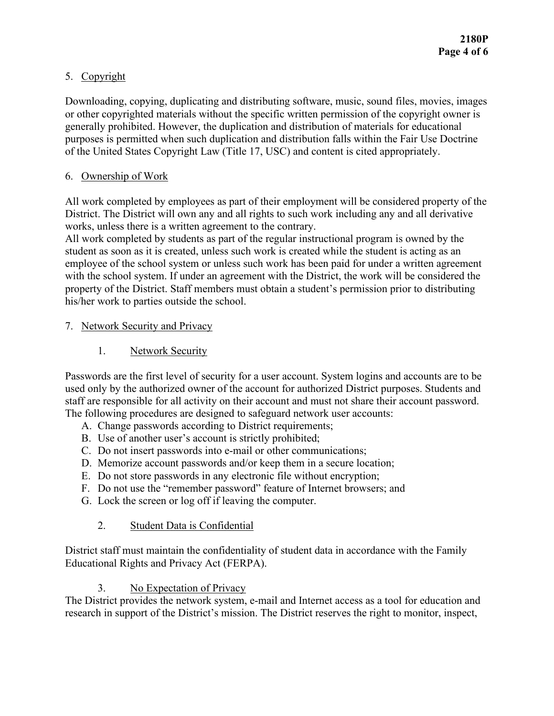# 5. Copyright

Downloading, copying, duplicating and distributing software, music, sound files, movies, images or other copyrighted materials without the specific written permission of the copyright owner is generally prohibited. However, the duplication and distribution of materials for educational purposes is permitted when such duplication and distribution falls within the Fair Use Doctrine of the United States Copyright Law (Title 17, USC) and content is cited appropriately.

## 6. Ownership of Work

All work completed by employees as part of their employment will be considered property of the District. The District will own any and all rights to such work including any and all derivative works, unless there is a written agreement to the contrary.

All work completed by students as part of the regular instructional program is owned by the student as soon as it is created, unless such work is created while the student is acting as an employee of the school system or unless such work has been paid for under a written agreement with the school system. If under an agreement with the District, the work will be considered the property of the District. Staff members must obtain a student's permission prior to distributing his/her work to parties outside the school.

## 7. Network Security and Privacy

1. Network Security

Passwords are the first level of security for a user account. System logins and accounts are to be used only by the authorized owner of the account for authorized District purposes. Students and staff are responsible for all activity on their account and must not share their account password. The following procedures are designed to safeguard network user accounts:

- A. Change passwords according to District requirements;
- B. Use of another user's account is strictly prohibited;
- C. Do not insert passwords into e-mail or other communications;
- D. Memorize account passwords and/or keep them in a secure location;
- E. Do not store passwords in any electronic file without encryption;
- F. Do not use the "remember password" feature of Internet browsers; and
- G. Lock the screen or log off if leaving the computer.

# 2. Student Data is Confidential

District staff must maintain the confidentiality of student data in accordance with the Family Educational Rights and Privacy Act (FERPA).

# 3. No Expectation of Privacy

The District provides the network system, e-mail and Internet access as a tool for education and research in support of the District's mission. The District reserves the right to monitor, inspect,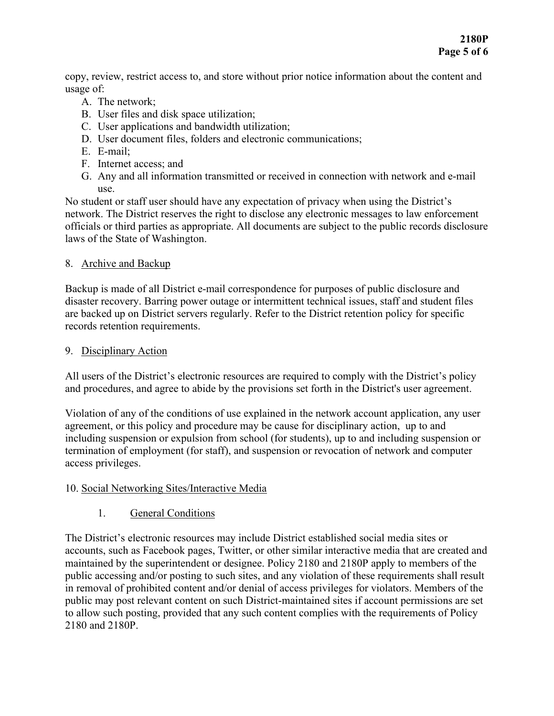copy, review, restrict access to, and store without prior notice information about the content and usage of:

- A. The network;
- B. User files and disk space utilization;
- C. User applications and bandwidth utilization;
- D. User document files, folders and electronic communications;
- E. E-mail;
- F. Internet access; and
- G. Any and all information transmitted or received in connection with network and e-mail use.

No student or staff user should have any expectation of privacy when using the District's network. The District reserves the right to disclose any electronic messages to law enforcement officials or third parties as appropriate. All documents are subject to the public records disclosure laws of the State of Washington.

### 8. Archive and Backup

Backup is made of all District e-mail correspondence for purposes of public disclosure and disaster recovery. Barring power outage or intermittent technical issues, staff and student files are backed up on District servers regularly. Refer to the District retention policy for specific records retention requirements.

### 9. Disciplinary Action

All users of the District's electronic resources are required to comply with the District's policy and procedures, and agree to abide by the provisions set forth in the District's user agreement.

Violation of any of the conditions of use explained in the network account application, any user agreement, or this policy and procedure may be cause for disciplinary action, up to and including suspension or expulsion from school (for students), up to and including suspension or termination of employment (for staff), and suspension or revocation of network and computer access privileges.

## 10. Social Networking Sites/Interactive Media

## 1. General Conditions

The District's electronic resources may include District established social media sites or accounts, such as Facebook pages, Twitter, or other similar interactive media that are created and maintained by the superintendent or designee. Policy 2180 and 2180P apply to members of the public accessing and/or posting to such sites, and any violation of these requirements shall result in removal of prohibited content and/or denial of access privileges for violators. Members of the public may post relevant content on such District-maintained sites if account permissions are set to allow such posting, provided that any such content complies with the requirements of Policy 2180 and 2180P.